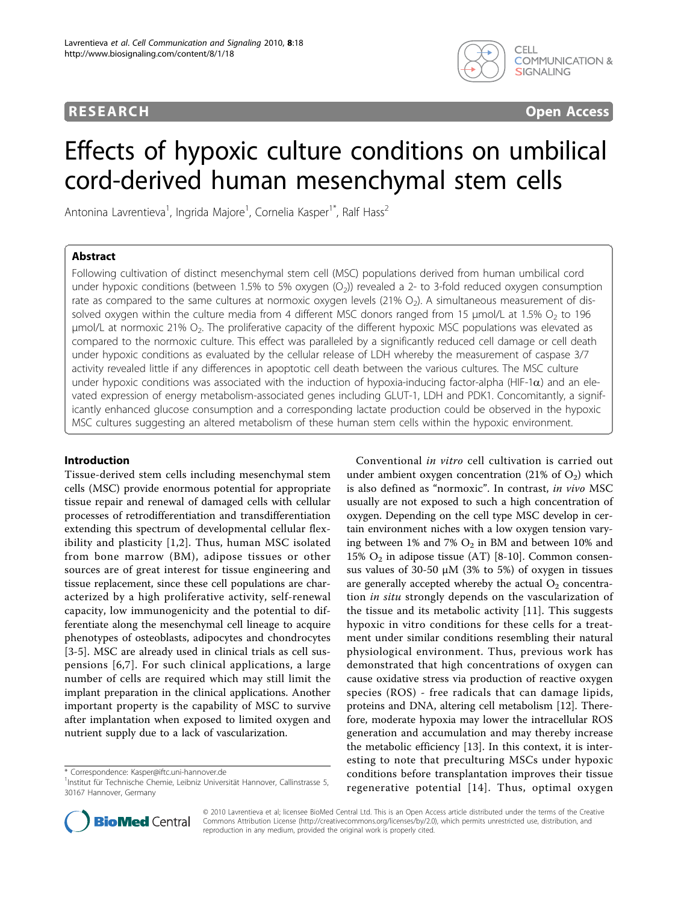## **RESEARCH CONSTRUCTION CONSTRUCTS**



# Effects of hypoxic culture conditions on umbilical cord-derived human mesenchymal stem cells

Antonina Lavrentieva<sup>1</sup>, Ingrida Majore<sup>1</sup>, Cornelia Kasper<sup>1\*</sup>, Ralf Hass<sup>2</sup>

## Abstract

Following cultivation of distinct mesenchymal stem cell (MSC) populations derived from human umbilical cord under hypoxic conditions (between 1.5% to 5% oxygen (O<sub>2</sub>)) revealed a 2- to 3-fold reduced oxygen consumption rate as compared to the same cultures at normoxic oxygen levels (21%  $O<sub>2</sub>$ ). A simultaneous measurement of dissolved oxygen within the culture media from 4 different MSC donors ranged from 15  $\mu$ mol/L at 1.5% O<sub>2</sub> to 196  $μ$ mol/L at normoxic 21%  $O<sub>2</sub>$ . The proliferative capacity of the different hypoxic MSC populations was elevated as compared to the normoxic culture. This effect was paralleled by a significantly reduced cell damage or cell death under hypoxic conditions as evaluated by the cellular release of LDH whereby the measurement of caspase 3/7 activity revealed little if any differences in apoptotic cell death between the various cultures. The MSC culture under hypoxic conditions was associated with the induction of hypoxia-inducing factor-alpha (HIF-1 $\alpha$ ) and an elevated expression of energy metabolism-associated genes including GLUT-1, LDH and PDK1. Concomitantly, a significantly enhanced glucose consumption and a corresponding lactate production could be observed in the hypoxic MSC cultures suggesting an altered metabolism of these human stem cells within the hypoxic environment.

#### Introduction

Tissue-derived stem cells including mesenchymal stem cells (MSC) provide enormous potential for appropriate tissue repair and renewal of damaged cells with cellular processes of retrodifferentiation and transdifferentiation extending this spectrum of developmental cellular flexibility and plasticity [[1,2](#page-7-0)]. Thus, human MSC isolated from bone marrow (BM), adipose tissues or other sources are of great interest for tissue engineering and tissue replacement, since these cell populations are characterized by a high proliferative activity, self-renewal capacity, low immunogenicity and the potential to differentiate along the mesenchymal cell lineage to acquire phenotypes of osteoblasts, adipocytes and chondrocytes [[3-5](#page-7-0)]. MSC are already used in clinical trials as cell suspensions [[6](#page-7-0),[7](#page-7-0)]. For such clinical applications, a large number of cells are required which may still limit the implant preparation in the clinical applications. Another important property is the capability of MSC to survive after implantation when exposed to limited oxygen and nutrient supply due to a lack of vascularization.

Conventional in vitro cell cultivation is carried out under ambient oxygen concentration (21% of  $O_2$ ) which is also defined as "normoxic". In contrast, in vivo MSC usually are not exposed to such a high concentration of oxygen. Depending on the cell type MSC develop in certain environment niches with a low oxygen tension varying between  $1\%$  and  $7\%$  O<sub>2</sub> in BM and between  $10\%$  and 15%  $O_2$  in adipose tissue (AT) [\[8](#page-7-0)-[10\]](#page-7-0). Common consensus values of 30-50 μM (3% to 5%) of oxygen in tissues are generally accepted whereby the actual  $O<sub>2</sub>$  concentration *in situ* strongly depends on the vascularization of the tissue and its metabolic activity [[11\]](#page-7-0). This suggests hypoxic in vitro conditions for these cells for a treatment under similar conditions resembling their natural physiological environment. Thus, previous work has demonstrated that high concentrations of oxygen can cause oxidative stress via production of reactive oxygen species (ROS) - free radicals that can damage lipids, proteins and DNA, altering cell metabolism [\[12\]](#page-7-0). Therefore, moderate hypoxia may lower the intracellular ROS generation and accumulation and may thereby increase the metabolic efficiency [\[13](#page-7-0)]. In this context, it is interesting to note that preculturing MSCs under hypoxic conditions before transplantation improves their tissue regenerative potential [[14](#page-7-0)]. Thus, optimal oxygen



© 2010 Lavrentieva et al; licensee BioMed Central Ltd. This is an Open Access article distributed under the terms of the Creative Commons Attribution License [\(http://creativecommons.org/licenses/by/2.0](http://creativecommons.org/licenses/by/2.0)), which permits unrestricted use, distribution, and reproduction in any medium, provided the original work is properly cited.

<sup>\*</sup> Correspondence: [Kasper@iftc.uni-hannover.de](mailto:Kasper@iftc.uni-hannover.de)

<sup>&</sup>lt;sup>1</sup>Institut für Technische Chemie, Leibniz Universität Hannover, Callinstrasse 5, 30167 Hannover, Germany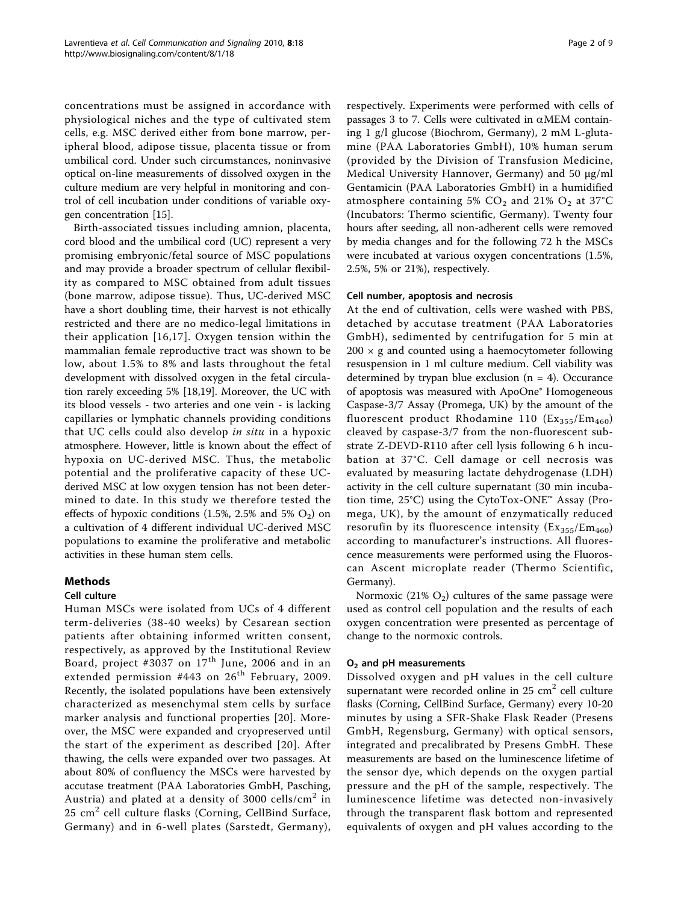concentrations must be assigned in accordance with physiological niches and the type of cultivated stem cells, e.g. MSC derived either from bone marrow, peripheral blood, adipose tissue, placenta tissue or from umbilical cord. Under such circumstances, noninvasive optical on-line measurements of dissolved oxygen in the culture medium are very helpful in monitoring and control of cell incubation under conditions of variable oxygen concentration [\[15\]](#page-7-0).

Birth-associated tissues including amnion, placenta, cord blood and the umbilical cord (UC) represent a very promising embryonic/fetal source of MSC populations and may provide a broader spectrum of cellular flexibility as compared to MSC obtained from adult tissues (bone marrow, adipose tissue). Thus, UC-derived MSC have a short doubling time, their harvest is not ethically restricted and there are no medico-legal limitations in their application [[16,17\]](#page-8-0). Oxygen tension within the mammalian female reproductive tract was shown to be low, about 1.5% to 8% and lasts throughout the fetal development with dissolved oxygen in the fetal circulation rarely exceeding 5% [\[18,19\]](#page-8-0). Moreover, the UC with its blood vessels - two arteries and one vein - is lacking capillaries or lymphatic channels providing conditions that UC cells could also develop in situ in a hypoxic atmosphere. However, little is known about the effect of hypoxia on UC-derived MSC. Thus, the metabolic potential and the proliferative capacity of these UCderived MSC at low oxygen tension has not been determined to date. In this study we therefore tested the effects of hypoxic conditions (1.5%, 2.5% and 5%  $O_2$ ) on a cultivation of 4 different individual UC-derived MSC populations to examine the proliferative and metabolic activities in these human stem cells.

## Methods

## Cell culture

Human MSCs were isolated from UCs of 4 different term-deliveries (38-40 weeks) by Cesarean section patients after obtaining informed written consent, respectively, as approved by the Institutional Review Board, project #3037 on  $17<sup>th</sup>$  June, 2006 and in an extended permission #443 on  $26<sup>th</sup>$  February, 2009. Recently, the isolated populations have been extensively characterized as mesenchymal stem cells by surface marker analysis and functional properties [\[20](#page-8-0)]. Moreover, the MSC were expanded and cryopreserved until the start of the experiment as described [[20\]](#page-8-0). After thawing, the cells were expanded over two passages. At about 80% of confluency the MSCs were harvested by accutase treatment (PAA Laboratories GmbH, Pasching, Austria) and plated at a density of 3000 cells/ $\text{cm}^2$  in  $25 \text{ cm}^2$  cell culture flasks (Corning, CellBind Surface, Germany) and in 6-well plates (Sarstedt, Germany), respectively. Experiments were performed with cells of passages 3 to 7. Cells were cultivated in  $\alpha$ MEM containing 1 g/l glucose (Biochrom, Germany), 2 mM L-glutamine (PAA Laboratories GmbH), 10% human serum (provided by the Division of Transfusion Medicine, Medical University Hannover, Germany) and 50 μg/ml Gentamicin (PAA Laboratories GmbH) in a humidified atmosphere containing 5%  $CO<sub>2</sub>$  and 21%  $O<sub>2</sub>$  at 37°C (Incubators: Thermo scientific, Germany). Twenty four hours after seeding, all non-adherent cells were removed by media changes and for the following 72 h the MSCs were incubated at various oxygen concentrations (1.5%, 2.5%, 5% or 21%), respectively.

#### Cell number, apoptosis and necrosis

At the end of cultivation, cells were washed with PBS, detached by accutase treatment (PAA Laboratories GmbH), sedimented by centrifugation for 5 min at  $200 \times g$  and counted using a haemocytometer following resuspension in 1 ml culture medium. Cell viability was determined by trypan blue exclusion  $(n = 4)$ . Occurance of apoptosis was measured with ApoOne® Homogeneous Caspase-3/7 Assay (Promega, UK) by the amount of the fluorescent product Rhodamine 110  $(Ex_{355}/Em_{460})$ cleaved by caspase-3/7 from the non-fluorescent substrate Z-DEVD-R110 after cell lysis following 6 h incubation at 37°C. Cell damage or cell necrosis was evaluated by measuring lactate dehydrogenase (LDH) activity in the cell culture supernatant (30 min incubation time, 25°C) using the CytoTox-ONE™ Assay (Promega, UK), by the amount of enzymatically reduced resorufin by its fluorescence intensity  $(Ex_{355}/Em_{460})$ according to manufacturer's instructions. All fluorescence measurements were performed using the Fluoroscan Ascent microplate reader (Thermo Scientific, Germany).

Normoxic (21%  $O_2$ ) cultures of the same passage were used as control cell population and the results of each oxygen concentration were presented as percentage of change to the normoxic controls.

## $O<sub>2</sub>$  and pH measurements

Dissolved oxygen and pH values in the cell culture supernatant were recorded online in  $25 \text{ cm}^2$  cell culture flasks (Corning, CellBind Surface, Germany) every 10-20 minutes by using a SFR-Shake Flask Reader (Presens GmbH, Regensburg, Germany) with optical sensors, integrated and precalibrated by Presens GmbH. These measurements are based on the luminescence lifetime of the sensor dye, which depends on the oxygen partial pressure and the pH of the sample, respectively. The luminescence lifetime was detected non-invasively through the transparent flask bottom and represented equivalents of oxygen and pH values according to the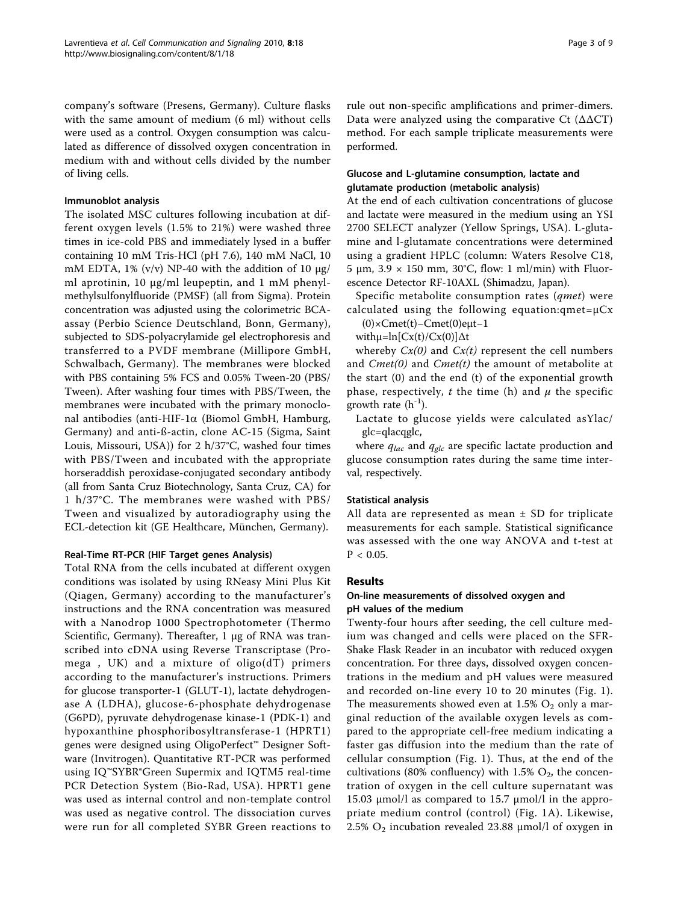company's software (Presens, Germany). Culture flasks with the same amount of medium (6 ml) without cells were used as a control. Oxygen consumption was calculated as difference of dissolved oxygen concentration in medium with and without cells divided by the number of living cells.

#### Immunoblot analysis

The isolated MSC cultures following incubation at different oxygen levels (1.5% to 21%) were washed three times in ice-cold PBS and immediately lysed in a buffer containing 10 mM Tris-HCl (pH 7.6), 140 mM NaCl, 10 mM EDTA, 1% (v/v) NP-40 with the addition of 10  $\mu$ g/ ml aprotinin, 10 μg/ml leupeptin, and 1 mM phenylmethylsulfonylfluoride (PMSF) (all from Sigma). Protein concentration was adjusted using the colorimetric BCAassay (Perbio Science Deutschland, Bonn, Germany), subjected to SDS-polyacrylamide gel electrophoresis and transferred to a PVDF membrane (Millipore GmbH, Schwalbach, Germany). The membranes were blocked with PBS containing 5% FCS and 0.05% Tween-20 (PBS/ Tween). After washing four times with PBS/Tween, the membranes were incubated with the primary monoclonal antibodies (anti-HIF-1 $\alpha$  (Biomol GmbH, Hamburg, Germany) and anti-ß-actin, clone AC-15 (Sigma, Saint Louis, Missouri, USA)) for 2 h/37°C, washed four times with PBS/Tween and incubated with the appropriate horseraddish peroxidase-conjugated secondary antibody (all from Santa Cruz Biotechnology, Santa Cruz, CA) for 1 h/37°C. The membranes were washed with PBS/ Tween and visualized by autoradiography using the ECL-detection kit (GE Healthcare, München, Germany).

## Real-Time RT-PCR (HIF Target genes Analysis)

Total RNA from the cells incubated at different oxygen conditions was isolated by using RNeasy Mini Plus Kit (Qiagen, Germany) according to the manufacturer's instructions and the RNA concentration was measured with a Nanodrop 1000 Spectrophotometer (Thermo Scientific, Germany). Thereafter, 1 μg of RNA was transcribed into cDNA using Reverse Transcriptase (Promega , UK) and a mixture of oligo(dT) primers according to the manufacturer's instructions. Primers for glucose transporter-1 (GLUT-1), lactate dehydrogenase A (LDHA), glucose-6-phosphate dehydrogenase (G6PD), pyruvate dehydrogenase kinase-1 (PDK-1) and hypoxanthine phosphoribosyltransferase-1 (HPRT1) genes were designed using OligoPerfect™ Designer Software (Invitrogen). Quantitative RT-PCR was performed using IQ™SYBR®Green Supermix and IQTM5 real-time PCR Detection System (Bio-Rad, USA). HPRT1 gene was used as internal control and non-template control was used as negative control. The dissociation curves were run for all completed SYBR Green reactions to rule out non-specific amplifications and primer-dimers. Data were analyzed using the comparative Ct  $(\Delta \Delta CT)$ method. For each sample triplicate measurements were performed.

## Glucose and L-glutamine consumption, lactate and glutamate production (metabolic analysis)

At the end of each cultivation concentrations of glucose and lactate were measured in the medium using an YSI 2700 SELECT analyzer (Yellow Springs, USA). L-glutamine and l-glutamate concentrations were determined using a gradient HPLC (column: Waters Resolve C18, 5 μm,  $3.9 \times 150$  mm,  $30^{\circ}$ C, flow: 1 ml/min) with Fluorescence Detector RF-10AXL (Shimadzu, Japan).

Specific metabolite consumption rates (qmet) were calculated using the following equation: $q$ met= $\mu$ Cx

 $(0) \times$ Cmet(t)–Cmet(0)eµt–1

with $\mu = \ln[Cx(t)/Cx(0)]\Delta t$ 

whereby  $Cx(0)$  and  $Cx(t)$  represent the cell numbers and  $Cmet(0)$  and  $Cmet(t)$  the amount of metabolite at the start (0) and the end (t) of the exponential growth phase, respectively, t the time (h) and  $\mu$  the specific growth rate  $(h^{-1})$ .

Lactate to glucose yields were calculated asYlac/ glc=qlacqglc,

where  $q_{lac}$  and  $q_{glc}$  are specific lactate production and glucose consumption rates during the same time interval, respectively.

## Statistical analysis

All data are represented as mean  $\pm$  SD for triplicate measurements for each sample. Statistical significance was assessed with the one way ANOVA and t-test at  $P < 0.05$ .

#### Results

#### On-line measurements of dissolved oxygen and pH values of the medium

Twenty-four hours after seeding, the cell culture medium was changed and cells were placed on the SFR-Shake Flask Reader in an incubator with reduced oxygen concentration. For three days, dissolved oxygen concentrations in the medium and pH values were measured and recorded on-line every 10 to 20 minutes (Fig. [1\)](#page-3-0). The measurements showed even at  $1.5\%$  O<sub>2</sub> only a marginal reduction of the available oxygen levels as compared to the appropriate cell-free medium indicating a faster gas diffusion into the medium than the rate of cellular consumption (Fig. [1\)](#page-3-0). Thus, at the end of the cultivations (80% confluency) with 1.5%  $O_2$ , the concentration of oxygen in the cell culture supernatant was 15.03 μmol/l as compared to 15.7 μmol/l in the appropriate medium control (control) (Fig. [1A\)](#page-3-0). Likewise, 2.5%  $O_2$  incubation revealed 23.88  $\mu$ mol/l of oxygen in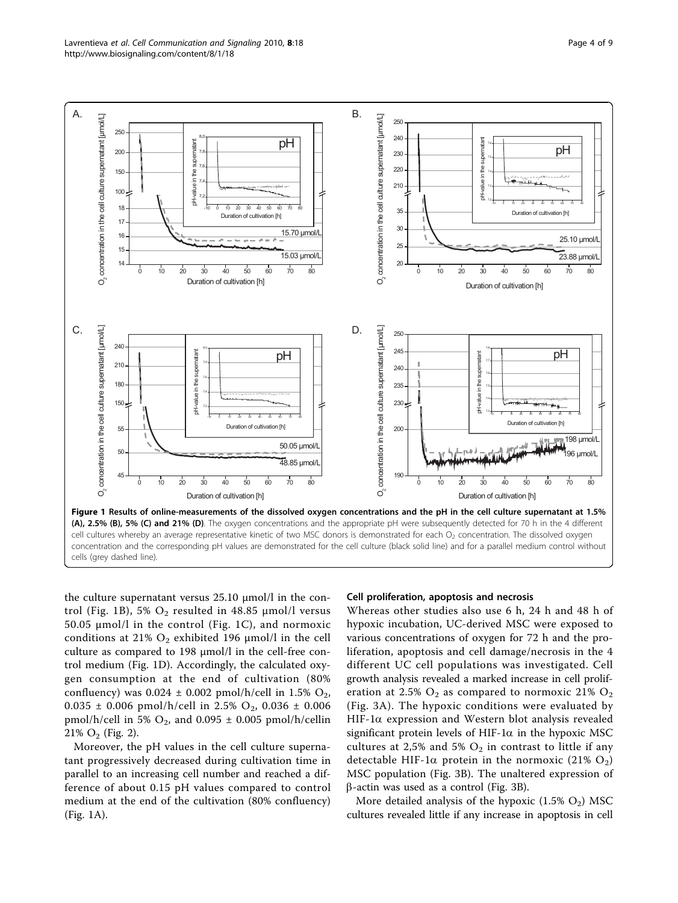<span id="page-3-0"></span>

the culture supernatant versus 25.10 μmol/l in the control (Fig. 1B), 5%  $O_2$  resulted in 48.85 µmol/l versus 50.05 μmol/l in the control (Fig. 1C), and normoxic conditions at 21%  $O_2$  exhibited 196 μmol/l in the cell culture as compared to 198 μmol/l in the cell-free control medium (Fig. 1D). Accordingly, the calculated oxygen consumption at the end of cultivation (80% confluency) was  $0.024 \pm 0.002$  pmol/h/cell in 1.5% O<sub>2</sub>,  $0.035 \pm 0.006$  pmol/h/cell in 2.5% O<sub>2</sub>, 0.036  $\pm$  0.006 pmol/h/cell in 5%  $O_2$ , and 0.095  $\pm$  0.005 pmol/h/cellin  $21\%$  O<sub>2</sub> (Fig. [2\)](#page-4-0).

Moreover, the pH values in the cell culture supernatant progressively decreased during cultivation time in parallel to an increasing cell number and reached a difference of about 0.15 pH values compared to control medium at the end of the cultivation (80% confluency) (Fig. 1A).

#### Cell proliferation, apoptosis and necrosis

Whereas other studies also use 6 h, 24 h and 48 h of hypoxic incubation, UC-derived MSC were exposed to various concentrations of oxygen for 72 h and the proliferation, apoptosis and cell damage/necrosis in the 4 different UC cell populations was investigated. Cell growth analysis revealed a marked increase in cell proliferation at 2.5%  $O_2$  as compared to normoxic 21%  $O_2$ (Fig. [3A](#page-4-0)). The hypoxic conditions were evaluated by HIF-1 $\alpha$  expression and Western blot analysis revealed significant protein levels of HIF-1 $\alpha$  in the hypoxic MSC cultures at 2,5% and 5%  $O_2$  in contrast to little if any detectable HIF-1 $\alpha$  protein in the normoxic (21% O<sub>2</sub>) MSC population (Fig. [3B\)](#page-4-0). The unaltered expression of  $\beta$ -actin was used as a control (Fig. [3B\)](#page-4-0).

More detailed analysis of the hypoxic  $(1.5\% \text{ O}_2)$  MSC cultures revealed little if any increase in apoptosis in cell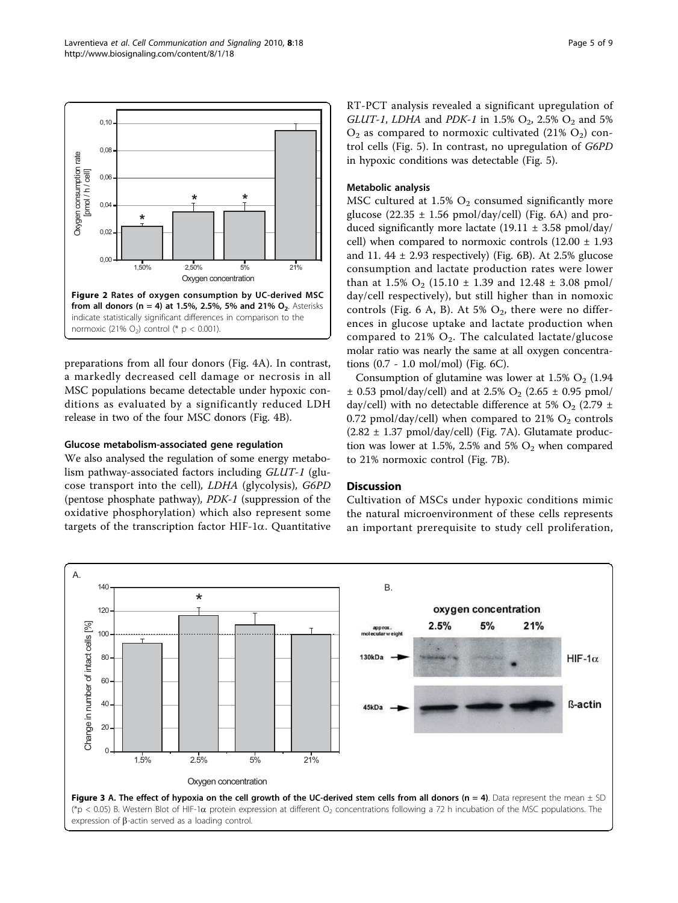<span id="page-4-0"></span>

preparations from all four donors (Fig. [4A\)](#page-5-0). In contrast, a markedly decreased cell damage or necrosis in all MSC populations became detectable under hypoxic conditions as evaluated by a significantly reduced LDH release in two of the four MSC donors (Fig. [4B](#page-5-0)).

#### Glucose metabolism-associated gene regulation

We also analysed the regulation of some energy metabolism pathway-associated factors including GLUT-1 (glucose transport into the cell), LDHA (glycolysis), G6PD (pentose phosphate pathway), PDK-1 (suppression of the oxidative phosphorylation) which also represent some targets of the transcription factor HIF-1 $\alpha$ . Quantitative RT-PCT analysis revealed a significant upregulation of GLUT-1, LDHA and PDK-1 in 1.5%  $O_2$ , 2.5%  $O_2$  and 5%  $O_2$  as compared to normoxic cultivated (21%  $O_2$ ) control cells (Fig. [5](#page-5-0)). In contrast, no upregulation of G6PD in hypoxic conditions was detectable (Fig. [5\)](#page-5-0).

#### Metabolic analysis

MSC cultured at 1.5%  $O_2$  consumed significantly more glucose (22.35  $\pm$  1.56 pmol/day/cell) (Fig. [6A](#page-6-0)) and produced significantly more lactate  $(19.11 \pm 3.58 \text{ pmol/day}/$ cell) when compared to normoxic controls  $(12.00 \pm 1.93)$ and 11.  $44 \pm 2.93$  respectively) (Fig. [6B\)](#page-6-0). At 2.5% glucose consumption and lactate production rates were lower than at 1.5%  $O_2$  (15.10  $\pm$  1.39 and 12.48  $\pm$  3.08 pmol/ day/cell respectively), but still higher than in nomoxic controls (Fig. [6 A, B\)](#page-6-0). At 5%  $O_2$ , there were no differences in glucose uptake and lactate production when compared to 21%  $O_2$ . The calculated lactate/glucose molar ratio was nearly the same at all oxygen concentrations (0.7 - 1.0 mol/mol) (Fig. [6C](#page-6-0)).

Consumption of glutamine was lower at  $1.5\%$  O<sub>2</sub> (1.94)  $\pm$  0.53 pmol/day/cell) and at 2.5% O<sub>2</sub> (2.65  $\pm$  0.95 pmol/ day/cell) with no detectable difference at 5%  $O_2$  (2.79  $\pm$ 0.72 pmol/day/cell) when compared to  $21\%$  O<sub>2</sub> controls  $(2.82 \pm 1.37 \text{ pmol/day/cell})$  (Fig. [7A\)](#page-6-0). Glutamate production was lower at 1.5%, 2.5% and 5%  $O_2$  when compared to 21% normoxic control (Fig. [7B](#page-6-0)).

## **Discussion**

Cultivation of MSCs under hypoxic conditions mimic the natural microenvironment of these cells represents an important prerequisite to study cell proliferation,

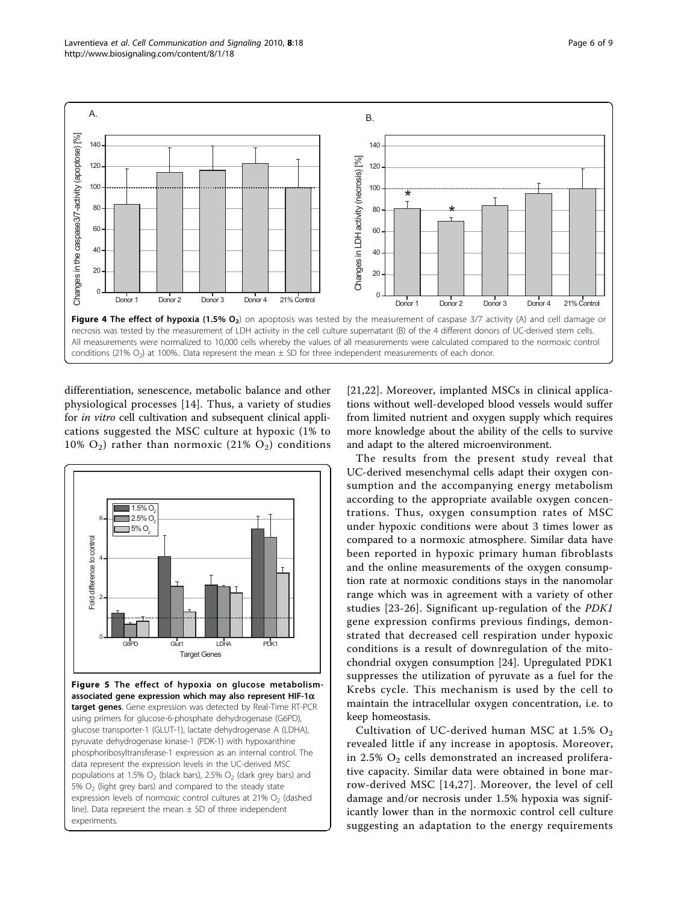<span id="page-5-0"></span>

differentiation, senescence, metabolic balance and other physiological processes [\[14\]](#page-7-0). Thus, a variety of studies for *in vitro* cell cultivation and subsequent clinical applications suggested the MSC culture at hypoxic (1% to 10%  $O_2$ ) rather than normoxic (21%  $O_2$ ) conditions



Figure 5 The effect of hypoxia on glucose metabolismassociated gene expression which may also represent HIF-1 $\alpha$ target genes. Gene expression was detected by Real-Time RT-PCR using primers for glucose-6-phosphate dehydrogenase (G6PD), glucose transporter-1 (GLUT-1), lactate dehydrogenase A (LDHA), pyruvate dehydrogenase kinase-1 (PDK-1) with hypoxanthine phosphoribosyltransferase-1 expression as an internal control. The data represent the expression levels in the UC-derived MSC populations at 1.5%  $O_2$  (black bars), 2.5%  $O_2$  (dark grey bars) and 5%  $O<sub>2</sub>$  (light grey bars) and compared to the steady state expression levels of normoxic control cultures at  $21\%$  O<sub>2</sub> (dashed line). Data represent the mean  $\pm$  SD of three independent experiments.

[[21,22](#page-8-0)]. Moreover, implanted MSCs in clinical applications without well-developed blood vessels would suffer from limited nutrient and oxygen supply which requires more knowledge about the ability of the cells to survive and adapt to the altered microenvironment.

The results from the present study reveal that UC-derived mesenchymal cells adapt their oxygen consumption and the accompanying energy metabolism according to the appropriate available oxygen concentrations. Thus, oxygen consumption rates of MSC under hypoxic conditions were about 3 times lower as compared to a normoxic atmosphere. Similar data have been reported in hypoxic primary human fibroblasts and the online measurements of the oxygen consumption rate at normoxic conditions stays in the nanomolar range which was in agreement with a variety of other studies [\[23](#page-8-0)-[26](#page-8-0)]. Significant up-regulation of the PDK1 gene expression confirms previous findings, demonstrated that decreased cell respiration under hypoxic conditions is a result of downregulation of the mitochondrial oxygen consumption [\[24](#page-8-0)]. Upregulated PDK1 suppresses the utilization of pyruvate as a fuel for the Krebs cycle. This mechanism is used by the cell to maintain the intracellular oxygen concentration, i.e. to keep homeostasis.

Cultivation of UC-derived human MSC at 1.5%  $O_2$ revealed little if any increase in apoptosis. Moreover, in 2.5%  $O_2$  cells demonstrated an increased proliferative capacity. Similar data were obtained in bone marrow-derived MSC [\[14,](#page-7-0)[27\]](#page-8-0). Moreover, the level of cell damage and/or necrosis under 1.5% hypoxia was significantly lower than in the normoxic control cell culture suggesting an adaptation to the energy requirements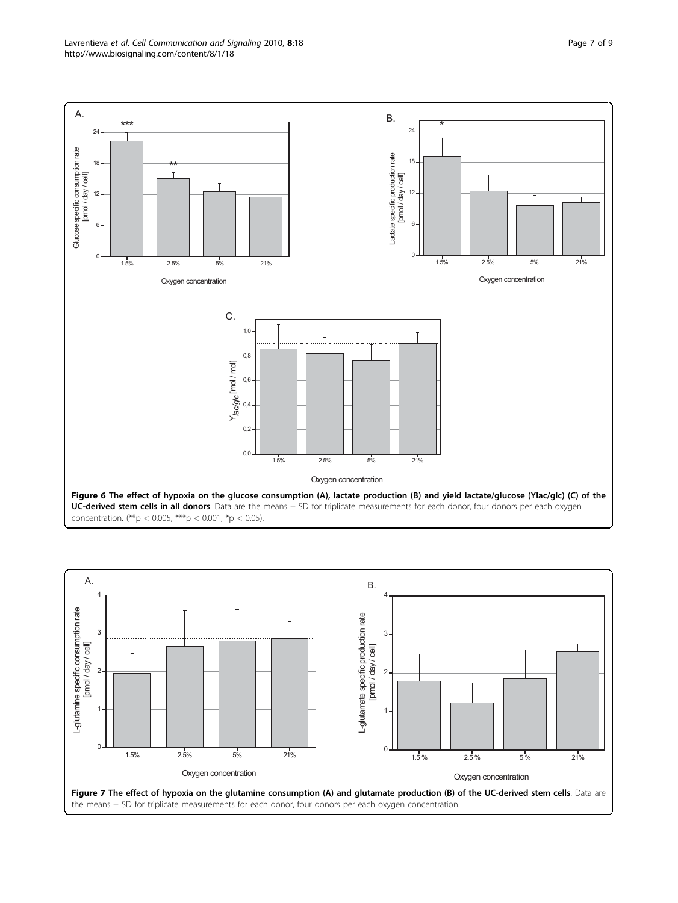<span id="page-6-0"></span>

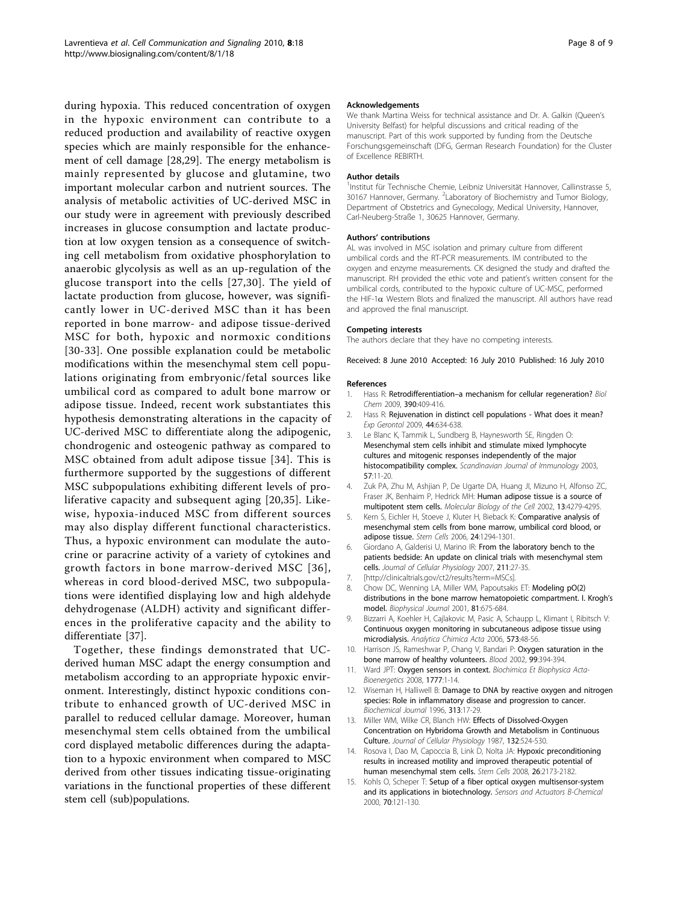<span id="page-7-0"></span>during hypoxia. This reduced concentration of oxygen in the hypoxic environment can contribute to a reduced production and availability of reactive oxygen species which are mainly responsible for the enhancement of cell damage [[28,29](#page-8-0)]. The energy metabolism is mainly represented by glucose and glutamine, two important molecular carbon and nutrient sources. The analysis of metabolic activities of UC-derived MSC in our study were in agreement with previously described increases in glucose consumption and lactate production at low oxygen tension as a consequence of switching cell metabolism from oxidative phosphorylation to anaerobic glycolysis as well as an up-regulation of the glucose transport into the cells [[27,30\]](#page-8-0). The yield of lactate production from glucose, however, was significantly lower in UC-derived MSC than it has been reported in bone marrow- and adipose tissue-derived MSC for both, hypoxic and normoxic conditions [[30-33\]](#page-8-0). One possible explanation could be metabolic modifications within the mesenchymal stem cell populations originating from embryonic/fetal sources like umbilical cord as compared to adult bone marrow or adipose tissue. Indeed, recent work substantiates this hypothesis demonstrating alterations in the capacity of UC-derived MSC to differentiate along the adipogenic, chondrogenic and osteogenic pathway as compared to MSC obtained from adult adipose tissue [[34](#page-8-0)]. This is furthermore supported by the suggestions of different MSC subpopulations exhibiting different levels of proliferative capacity and subsequent aging [[20,35](#page-8-0)]. Likewise, hypoxia-induced MSC from different sources may also display different functional characteristics. Thus, a hypoxic environment can modulate the autocrine or paracrine activity of a variety of cytokines and growth factors in bone marrow-derived MSC [[36\]](#page-8-0), whereas in cord blood-derived MSC, two subpopulations were identified displaying low and high aldehyde dehydrogenase (ALDH) activity and significant differences in the proliferative capacity and the ability to differentiate [\[37](#page-8-0)].

Together, these findings demonstrated that UCderived human MSC adapt the energy consumption and metabolism according to an appropriate hypoxic environment. Interestingly, distinct hypoxic conditions contribute to enhanced growth of UC-derived MSC in parallel to reduced cellular damage. Moreover, human mesenchymal stem cells obtained from the umbilical cord displayed metabolic differences during the adaptation to a hypoxic environment when compared to MSC derived from other tissues indicating tissue-originating variations in the functional properties of these different stem cell (sub)populations.

#### Acknowledgements

We thank Martina Weiss for technical assistance and Dr. A. Galkin (Queen's University Belfast) for helpful discussions and critical reading of the manuscript. Part of this work supported by funding from the Deutsche Forschungsgemeinschaft (DFG, German Research Foundation) for the Cluster of Excellence REBIRTH.

#### Author details

<sup>1</sup>Institut für Technische Chemie, Leibniz Universität Hannover, Callinstrasse 5 30167 Hannover, Germany. <sup>2</sup>Laboratory of Biochemistry and Tumor Biology, Department of Obstetrics and Gynecology, Medical University, Hannover, Carl-Neuberg-Straße 1, 30625 Hannover, Germany.

#### Authors' contributions

AL was involved in MSC isolation and primary culture from different umbilical cords and the RT-PCR measurements. IM contributed to the oxygen and enzyme measurements. CK designed the study and drafted the manuscript. RH provided the ethic vote and patient's written consent for the umbilical cords, contributed to the hypoxic culture of UC-MSC, performed the HIF-1 $\alpha$  Western Blots and finalized the manuscript. All authors have read and approved the final manuscript.

#### Competing interests

The authors declare that they have no competing interests.

Received: 8 June 2010 Accepted: 16 July 2010 Published: 16 July 2010

#### References

- 1. Hass R: Retrodifferentiation–[a mechanism for cellular regeneration?](http://www.ncbi.nlm.nih.gov/pubmed/19335196?dopt=Abstract) Biol Chem 2009, 390:409-416.
- 2. Hass R: [Rejuvenation in distinct cell populations What does it mean?](http://www.ncbi.nlm.nih.gov/pubmed/19638307?dopt=Abstract) Exp Gerontol 2009, 44:634-638.
- 3. Le Blanc K, Tammik L, Sundberg B, Haynesworth SE, Ringden O: [Mesenchymal stem cells inhibit and stimulate mixed lymphocyte](http://www.ncbi.nlm.nih.gov/pubmed/12542793?dopt=Abstract) [cultures and mitogenic responses independently of the major](http://www.ncbi.nlm.nih.gov/pubmed/12542793?dopt=Abstract) [histocompatibility complex.](http://www.ncbi.nlm.nih.gov/pubmed/12542793?dopt=Abstract) Scandinavian Journal of Immunology 2003, 57:11-20.
- 4. Zuk PA, Zhu M, Ashjian P, De Ugarte DA, Huang JI, Mizuno H, Alfonso ZC, Fraser JK, Benhaim P, Hedrick MH: [Human adipose tissue is a source of](http://www.ncbi.nlm.nih.gov/pubmed/12475952?dopt=Abstract) [multipotent stem cells.](http://www.ncbi.nlm.nih.gov/pubmed/12475952?dopt=Abstract) Molecular Biology of the Cell 2002, 13:4279-4295.
- 5. Kern S, Eichler H, Stoeve J, Kluter H, Bieback K: [Comparative analysis of](http://www.ncbi.nlm.nih.gov/pubmed/16410387?dopt=Abstract) [mesenchymal stem cells from bone marrow, umbilical cord blood, or](http://www.ncbi.nlm.nih.gov/pubmed/16410387?dopt=Abstract) [adipose tissue.](http://www.ncbi.nlm.nih.gov/pubmed/16410387?dopt=Abstract) Stem Cells 2006, 24:1294-1301.
- 6. Giordano A, Galderisi U, Marino IR: [From the laboratory bench to the](http://www.ncbi.nlm.nih.gov/pubmed/17226788?dopt=Abstract) [patients bedside: An update on clinical trials with mesenchymal stem](http://www.ncbi.nlm.nih.gov/pubmed/17226788?dopt=Abstract) [cells.](http://www.ncbi.nlm.nih.gov/pubmed/17226788?dopt=Abstract) Journal of Cellular Physiology 2007, 211:27-35.
- [<http://clinicaltrials.gov/ct2/results?term=MSCs>]
- 8. Chow DC, Wenning LA, Miller WM, Papoutsakis ET: [Modeling pO\(2\)](http://www.ncbi.nlm.nih.gov/pubmed/11463616?dopt=Abstract) [distributions in the bone marrow hematopoietic compartment. I. Krogh](http://www.ncbi.nlm.nih.gov/pubmed/11463616?dopt=Abstract)'s [model.](http://www.ncbi.nlm.nih.gov/pubmed/11463616?dopt=Abstract) Biophysical Journal 2001, 81:675-684.
- 9. Bizzarri A, Koehler H, Cajlakovic M, Pasic A, Schaupp L, Klimant I, Ribitsch V: [Continuous oxygen monitoring in subcutaneous adipose tissue using](http://www.ncbi.nlm.nih.gov/pubmed/17723504?dopt=Abstract) [microdialysis.](http://www.ncbi.nlm.nih.gov/pubmed/17723504?dopt=Abstract) Analytica Chimica Acta 2006, 573:48-56.
- 10. Harrison JS, Rameshwar P, Chang V, Bandari P: [Oxygen saturation in the](http://www.ncbi.nlm.nih.gov/pubmed/11783438?dopt=Abstract) [bone marrow of healthy volunteers.](http://www.ncbi.nlm.nih.gov/pubmed/11783438?dopt=Abstract) Blood 2002, 99:394-394.
- 11. Ward JPT: Oxygen sensors in context. Biochimica Et Biophysica Acta-Bioenergetics 2008, 1777:1-14.
- 12. Wiseman H, Halliwell B: [Damage to DNA by reactive oxygen and nitrogen](http://www.ncbi.nlm.nih.gov/pubmed/8546679?dopt=Abstract) [species: Role in inflammatory disease and progression to cancer.](http://www.ncbi.nlm.nih.gov/pubmed/8546679?dopt=Abstract) Biochemical Journal 1996, 313:17-29.
- 13. Miller WM, Wilke CR, Blanch HW: [Effects of Dissolved-Oxygen](http://www.ncbi.nlm.nih.gov/pubmed/3654764?dopt=Abstract) [Concentration on Hybridoma Growth and Metabolism in Continuous](http://www.ncbi.nlm.nih.gov/pubmed/3654764?dopt=Abstract) [Culture.](http://www.ncbi.nlm.nih.gov/pubmed/3654764?dopt=Abstract) Journal of Cellular Physiology 1987, 132:524-530.
- 14. Rosova I, Dao M, Capoccia B, Link D, Nolta JA: [Hypoxic preconditioning](http://www.ncbi.nlm.nih.gov/pubmed/18511601?dopt=Abstract) [results in increased motility and improved therapeutic potential of](http://www.ncbi.nlm.nih.gov/pubmed/18511601?dopt=Abstract) [human mesenchymal stem cells.](http://www.ncbi.nlm.nih.gov/pubmed/18511601?dopt=Abstract) Stem Cells 2008, 26:2173-2182.
- 15. Kohls O, Scheper T: Setup of a fiber optical oxygen multisensor-system and its applications in biotechnology. Sensors and Actuators B-Chemical 2000, 70:121-130.